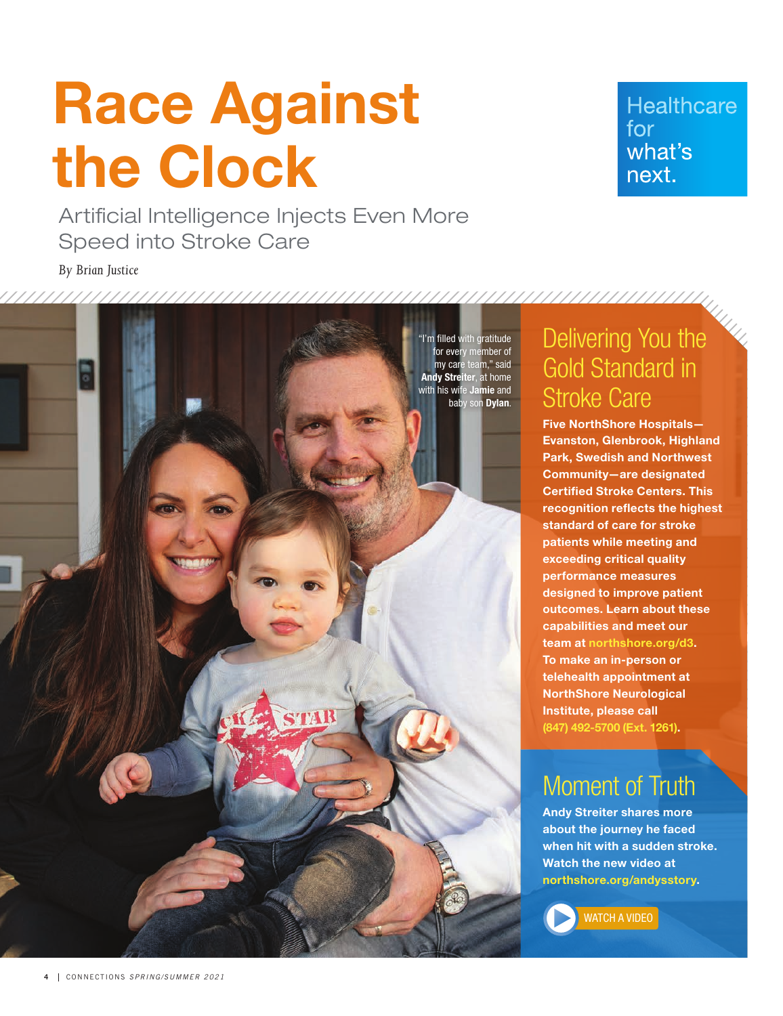# Race Against the Clock

Artificial Intelligence Injects Even More Speed into Stroke Care

*By Brian Justice*



**Healthcare**  $for$ what's next.

Delivering You the Gold Standard in Stroke Care

Five NorthShore Hospitals— Evanston, Glenbrook, Highland Park, Swedish and Northwest Community—are designated Certified Stroke Centers. This recognition reflects the highest standard of care for stroke patients while meeting and exceeding critical quality performance measures designed to improve patient outcomes. Learn about these capabilities and meet our team at northshore.org/d3. To make an in-person or telehealth appointment at NorthShore Neurological Institute, please call (847) 492-5700 (Ext. 1261).

## Moment of Truth

Andy Streiter shares more about the journey he faced when hit with a sudden stroke. Watch the new video at northshore.org/andysstory.